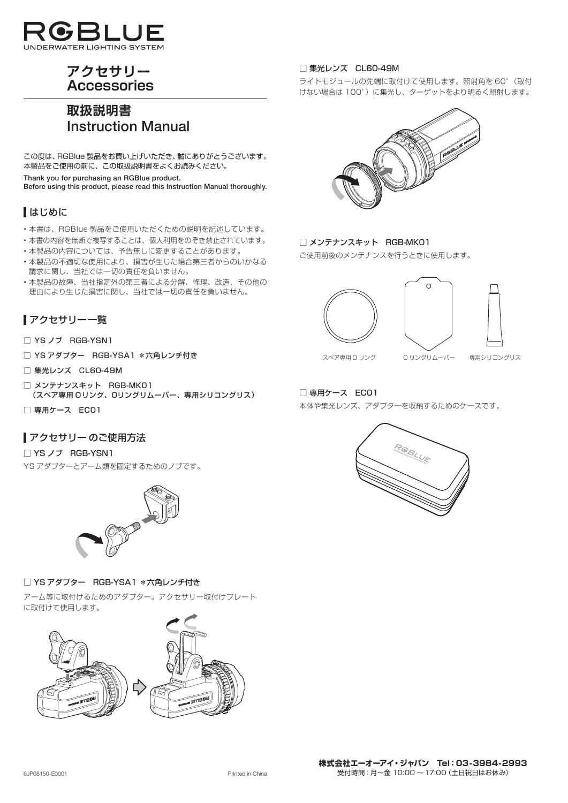

# **アクセサリー Accessories**

# **取扱説明書 Instruction Manual**

この度は、RGBlue 製品をお買い上げいただき、誠にありがとうございます。 本製品をご使用の前に、この取扱説明書をよくお読みください。

**Thank you for purchasing an RGBlue product. Before using this product, please read this Instruction Manual thoroughly.**

# はじめに

- 本書は、RGBlue 製品をご使用いただくための説明を記述しています。
- 本書の内容を無断で複写することは、個人利用をのぞき禁止されています。
- 本製品の内容については、予告無しに変更することがあります。
- 本製品の不適切な使用により、損害が生じた場合第三者からのいかなる 請求に関し、当社では一切の責任を負いません。
- 本製品の故障、当社指定外の第三者による分解、修理、改造、その他の 理由により生じた損害に関し、当社では一切の責任を負いません。

# アクセサリー一覧

- □ YS ノブ RGB-YSN1
- □ YS アダプター RGB-YSA1 \*六角レンチ付き
- □ 集光レンズ CL60-49M
- □ メンテナンスキット RGB-MK01 (スペア専用 Oリング、Oリングリムーバー、専用シリコングリス)
- □ 専用ケース EC01

# アクセサリー のご使用方法

□ YS ノブ RGB-YSN1 YS アダプターとアーム類を固定するためのノブです。



## □ YS アダプター RGB-YSA1 \*六角レンチ付き

アーム等に取付けるためのアダプター。アクセサリー取付けプレート に取付けて使用します。



## □ 集光レンズ CL60-49M

ライトモジュールの先端に取付けて使用します。照射角を 60°(取付 けない場合は 100°)に集光し、ターゲットをより明るく照射します。



□ メンテナンスキット RGB-MK01

ご使用前後のメンテナンスを行うときに使用します。





## □ 専用ケース EC01

本体や集光レンズ、アダプターを収納するためのケースです。